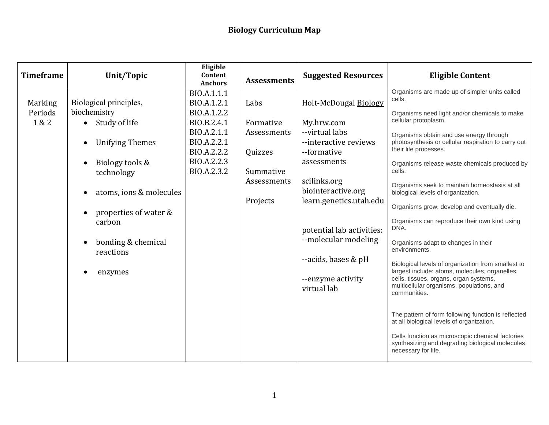| <b>Timeframe</b>                   | Unit/Topic                                                                                                                                                                                                                     | Eligible<br>Content<br><b>Anchors</b>                                                                                               | <b>Assessments</b>                                                                  | <b>Suggested Resources</b>                                                                                                                                                                                                                                                                    | <b>Eligible Content</b>                                                                                                                                                                                                                                                                                                                                                                                                                                                                                                                                                                                                                                                                                                                                                                                                                                                                                                                                                                                                       |
|------------------------------------|--------------------------------------------------------------------------------------------------------------------------------------------------------------------------------------------------------------------------------|-------------------------------------------------------------------------------------------------------------------------------------|-------------------------------------------------------------------------------------|-----------------------------------------------------------------------------------------------------------------------------------------------------------------------------------------------------------------------------------------------------------------------------------------------|-------------------------------------------------------------------------------------------------------------------------------------------------------------------------------------------------------------------------------------------------------------------------------------------------------------------------------------------------------------------------------------------------------------------------------------------------------------------------------------------------------------------------------------------------------------------------------------------------------------------------------------------------------------------------------------------------------------------------------------------------------------------------------------------------------------------------------------------------------------------------------------------------------------------------------------------------------------------------------------------------------------------------------|
| <b>Marking</b><br>Periods<br>1 & 2 | Biological principles,<br>biochemistry<br>Study of life<br><b>Unifying Themes</b><br>Biology tools &<br>technology<br>atoms, ions & molecules<br>properties of water &<br>carbon<br>bonding & chemical<br>reactions<br>enzymes | BIO.A.1.1.1<br>BIO.A.1.2.1<br>BIO.A.1.2.2<br>BIO.B.2.4.1<br>BIO.A.2.1.1<br>BIO.A.2.2.1<br>BIO.A.2.2.2<br>BIO.A.2.2.3<br>BIO.A.2.3.2 | Labs<br>Formative<br>Assessments<br>Quizzes<br>Summative<br>Assessments<br>Projects | Holt-McDougal Biology<br>My.hrw.com<br>--virtual labs<br>--interactive reviews<br>--formative<br>assessments<br>scilinks.org<br>biointeractive.org<br>learn.genetics.utah.edu<br>potential lab activities:<br>--molecular modeling<br>--acids, bases & pH<br>--enzyme activity<br>virtual lab | Organisms are made up of simpler units called<br>cells.<br>Organisms need light and/or chemicals to make<br>cellular protoplasm.<br>Organisms obtain and use energy through<br>photosynthesis or cellular respiration to carry out<br>their life processes.<br>Organisms release waste chemicals produced by<br>cells.<br>Organisms seek to maintain homeostasis at all<br>biological levels of organization.<br>Organisms grow, develop and eventually die.<br>Organisms can reproduce their own kind using<br>DNA.<br>Organisms adapt to changes in their<br>environments.<br>Biological levels of organization from smallest to<br>largest include: atoms, molecules, organelles,<br>cells, tissues, organs, organ systems,<br>multicellular organisms, populations, and<br>communities.<br>The pattern of form following function is reflected<br>at all biological levels of organization.<br>Cells function as microscopic chemical factories<br>synthesizing and degrading biological molecules<br>necessary for life. |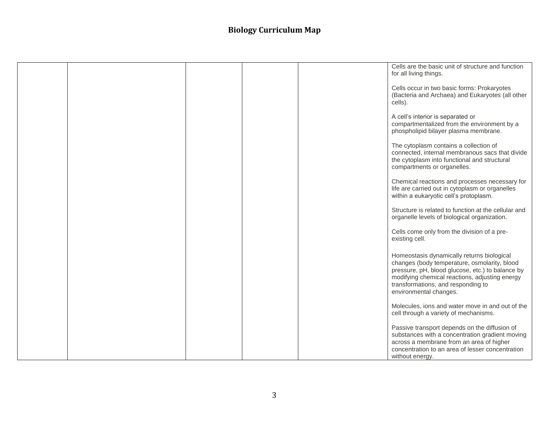|  |  | Cells are the basic unit of structure and function<br>for all living things.                                                                                                                                                                                     |
|--|--|------------------------------------------------------------------------------------------------------------------------------------------------------------------------------------------------------------------------------------------------------------------|
|  |  | Cells occur in two basic forms: Prokaryotes<br>(Bacteria and Archaea) and Eukaryotes (all other<br>cells).                                                                                                                                                       |
|  |  | A cell's interior is separated or<br>compartmentalized from the environment by a<br>phospholipid bilayer plasma membrane.                                                                                                                                        |
|  |  | The cytoplasm contains a collection of<br>connected, internal membranous sacs that divide<br>the cytoplasm into functional and structural<br>compartments or organelles.                                                                                         |
|  |  | Chemical reactions and processes necessary for<br>life are carried out in cytoplasm or organelles<br>within a eukaryotic cell's protoplasm.                                                                                                                      |
|  |  | Structure is related to function at the cellular and<br>organelle levels of biological organization.                                                                                                                                                             |
|  |  | Cells come only from the division of a pre-<br>existing cell.                                                                                                                                                                                                    |
|  |  | Homeostasis dynamically returns biological<br>changes (body temperature, osmolarity, blood<br>pressure, pH, blood glucose, etc.) to balance by<br>modifying chemical reactions, adjusting energy<br>transformations, and responding to<br>environmental changes. |
|  |  | Molecules, ions and water move in and out of the<br>cell through a variety of mechanisms.                                                                                                                                                                        |
|  |  | Passive transport depends on the diffusion of<br>substances with a concentration gradient moving<br>across a membrane from an area of higher<br>concentration to an area of lesser concentration<br>without energy.                                              |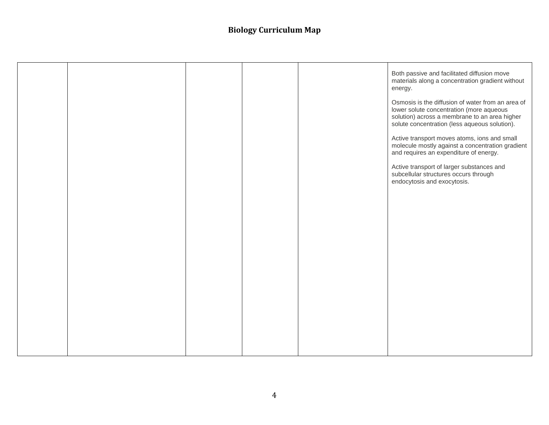|  |  | Both passive and facilitated diffusion move<br>materials along a concentration gradient without<br>energy.<br>Osmosis is the diffusion of water from an area of<br>lower solute concentration (more aqueous<br>solution) across a membrane to an area higher<br>solute concentration (less aqueous solution).<br>Active transport moves atoms, ions and small<br>molecule mostly against a concentration gradient<br>and requires an expenditure of energy.<br>Active transport of larger substances and<br>subcellular structures occurs through<br>endocytosis and exocytosis. |
|--|--|----------------------------------------------------------------------------------------------------------------------------------------------------------------------------------------------------------------------------------------------------------------------------------------------------------------------------------------------------------------------------------------------------------------------------------------------------------------------------------------------------------------------------------------------------------------------------------|
|  |  |                                                                                                                                                                                                                                                                                                                                                                                                                                                                                                                                                                                  |
|  |  |                                                                                                                                                                                                                                                                                                                                                                                                                                                                                                                                                                                  |
|  |  |                                                                                                                                                                                                                                                                                                                                                                                                                                                                                                                                                                                  |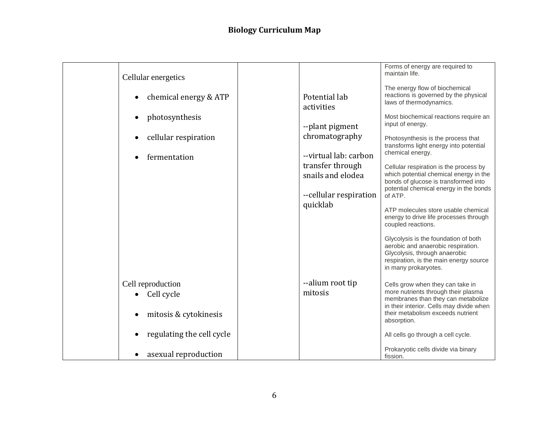|                                    |                        | Forms of energy are required to                                           |
|------------------------------------|------------------------|---------------------------------------------------------------------------|
|                                    |                        | maintain life.                                                            |
| Cellular energetics                |                        |                                                                           |
|                                    |                        | The energy flow of biochemical                                            |
| chemical energy & ATP<br>$\bullet$ | Potential lab          | reactions is governed by the physical<br>laws of thermodynamics.          |
|                                    | activities             |                                                                           |
| photosynthesis                     |                        | Most biochemical reactions require an                                     |
|                                    | --plant pigment        | input of energy.                                                          |
| cellular respiration<br>$\bullet$  | chromatography         | Photosynthesis is the process that                                        |
|                                    |                        | transforms light energy into potential                                    |
| fermentation                       | --virtual lab: carbon  | chemical energy.                                                          |
|                                    | transfer through       | Cellular respiration is the process by                                    |
|                                    | snails and elodea      | which potential chemical energy in the                                    |
|                                    |                        | bonds of glucose is transformed into                                      |
|                                    | --cellular respiration | potential chemical energy in the bonds<br>of ATP.                         |
|                                    | quicklab               |                                                                           |
|                                    |                        | ATP molecules store usable chemical                                       |
|                                    |                        | energy to drive life processes through<br>coupled reactions.              |
|                                    |                        |                                                                           |
|                                    |                        | Glycolysis is the foundation of both                                      |
|                                    |                        | aerobic and anaerobic respiration.                                        |
|                                    |                        | Glycolysis, through anaerobic<br>respiration, is the main energy source   |
|                                    |                        | in many prokaryotes.                                                      |
|                                    |                        |                                                                           |
| Cell reproduction                  | --alium root tip       | Cells grow when they can take in                                          |
| Cell cycle                         | mitosis                | more nutrients through their plasma<br>membranes than they can metabolize |
|                                    |                        | in their interior. Cells may divide when                                  |
| mitosis & cytokinesis              |                        | their metabolism exceeds nutrient                                         |
|                                    |                        | absorption.                                                               |
| regulating the cell cycle          |                        | All cells go through a cell cycle.                                        |
|                                    |                        |                                                                           |
| asexual reproduction               |                        | Prokaryotic cells divide via binary<br>fission.                           |
|                                    |                        |                                                                           |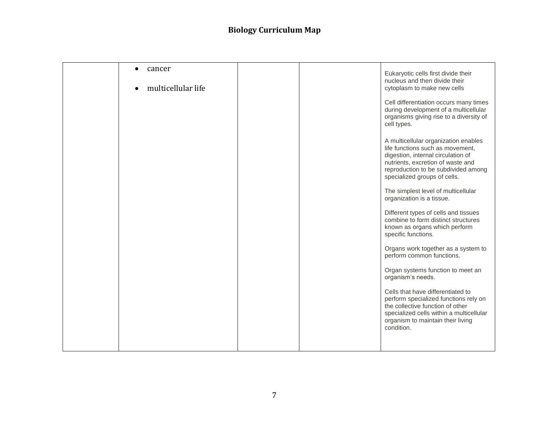| cancer             |  |                                                                                                                                                                                                                            |
|--------------------|--|----------------------------------------------------------------------------------------------------------------------------------------------------------------------------------------------------------------------------|
| multicellular life |  | Eukaryotic cells first divide their<br>nucleus and then divide their<br>cytoplasm to make new cells                                                                                                                        |
|                    |  | Cell differentiation occurs many times<br>during development of a multicellular<br>organisms giving rise to a diversity of<br>cell types.                                                                                  |
|                    |  | A multicellular organization enables<br>life functions such as movement,<br>digestion, internal circulation of<br>nutrients, excretion of waste and<br>reproduction to be subdivided among<br>specialized groups of cells. |
|                    |  | The simplest level of multicellular<br>organization is a tissue.                                                                                                                                                           |
|                    |  | Different types of cells and tissues<br>combine to form distinct structures<br>known as organs which perform<br>specific functions.                                                                                        |
|                    |  | Organs work together as a system to<br>perform common functions.                                                                                                                                                           |
|                    |  | Organ systems function to meet an<br>organism's needs.                                                                                                                                                                     |
|                    |  | Cells that have differentiated to<br>perform specialized functions rely on<br>the collective function of other<br>specialized cells within a multicellular<br>organism to maintain their living<br>condition.              |
|                    |  |                                                                                                                                                                                                                            |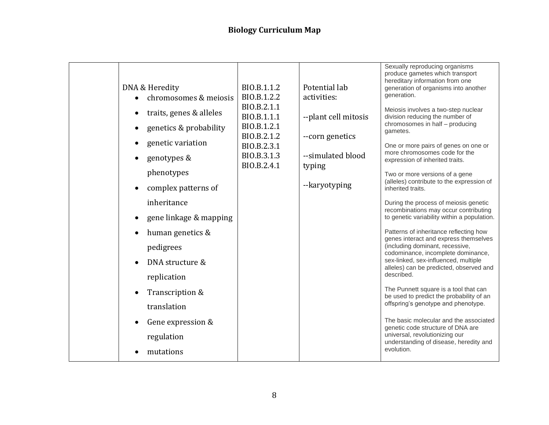|  | DNA & Heredity<br>chromosomes & meiosis<br>traits, genes & alleles<br>$\bullet$<br>genetics & probability<br>$\bullet$<br>genetic variation<br>$\bullet$<br>genotypes &<br>phenotypes<br>complex patterns of<br>inheritance<br>gene linkage & mapping<br>$\bullet$<br>human genetics &<br>$\bullet$<br>pedigrees<br>DNA structure &<br>$\bullet$<br>replication<br>Transcription &<br>$\bullet$<br>translation<br>Gene expression &<br>$\bullet$<br>regulation<br>mutations | BIO.B.1.1.2<br>BIO.B.1.2.2<br>BIO.B.2.1.1<br>BIO.B.1.1.1<br>BIO.B.1.2.1<br>BIO.B.2.1.2<br>BIO.B.2.3.1<br>BIO.B.3.1.3<br>BIO.B.2.4.1 | Potential lab<br>activities:<br>--plant cell mitosis<br>--corn genetics<br>--simulated blood<br>typing<br>--karyotyping | Sexually reproducing organisms<br>produce gametes which transport<br>hereditary information from one<br>generation of organisms into another<br>generation.<br>Meiosis involves a two-step nuclear<br>division reducing the number of<br>chromosomes in half - producing<br>gametes.<br>One or more pairs of genes on one or<br>more chromosomes code for the<br>expression of inherited traits.<br>Two or more versions of a gene<br>(alleles) contribute to the expression of<br>inherited traits.<br>During the process of meiosis genetic<br>recombinations may occur contributing<br>to genetic variability within a population.<br>Patterns of inheritance reflecting how<br>genes interact and express themselves<br>(including dominant, recessive,<br>codominance, incomplete dominance,<br>sex-linked, sex-influenced, multiple<br>alleles) can be predicted, observed and<br>described.<br>The Punnett square is a tool that can<br>be used to predict the probability of an<br>offspring's genotype and phenotype.<br>The basic molecular and the associated<br>genetic code structure of DNA are<br>universal, revolutionizing our<br>understanding of disease, heredity and<br>evolution. |
|--|-----------------------------------------------------------------------------------------------------------------------------------------------------------------------------------------------------------------------------------------------------------------------------------------------------------------------------------------------------------------------------------------------------------------------------------------------------------------------------|-------------------------------------------------------------------------------------------------------------------------------------|-------------------------------------------------------------------------------------------------------------------------|---------------------------------------------------------------------------------------------------------------------------------------------------------------------------------------------------------------------------------------------------------------------------------------------------------------------------------------------------------------------------------------------------------------------------------------------------------------------------------------------------------------------------------------------------------------------------------------------------------------------------------------------------------------------------------------------------------------------------------------------------------------------------------------------------------------------------------------------------------------------------------------------------------------------------------------------------------------------------------------------------------------------------------------------------------------------------------------------------------------------------------------------------------------------------------------------------------|
|--|-----------------------------------------------------------------------------------------------------------------------------------------------------------------------------------------------------------------------------------------------------------------------------------------------------------------------------------------------------------------------------------------------------------------------------------------------------------------------------|-------------------------------------------------------------------------------------------------------------------------------------|-------------------------------------------------------------------------------------------------------------------------|---------------------------------------------------------------------------------------------------------------------------------------------------------------------------------------------------------------------------------------------------------------------------------------------------------------------------------------------------------------------------------------------------------------------------------------------------------------------------------------------------------------------------------------------------------------------------------------------------------------------------------------------------------------------------------------------------------------------------------------------------------------------------------------------------------------------------------------------------------------------------------------------------------------------------------------------------------------------------------------------------------------------------------------------------------------------------------------------------------------------------------------------------------------------------------------------------------|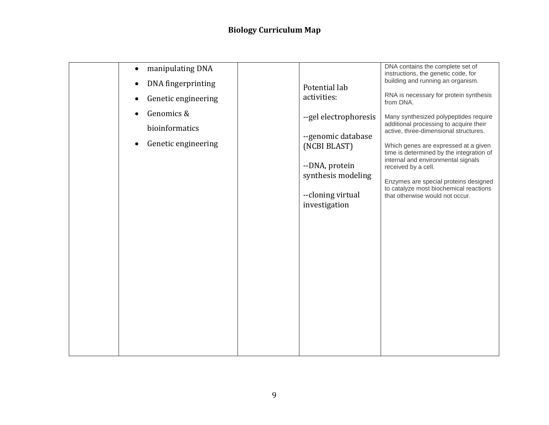| manipulating DNA<br>$\bullet$ |                                      | DNA contains the complete set of<br>instructions, the genetic code, for          |
|-------------------------------|--------------------------------------|----------------------------------------------------------------------------------|
| DNA fingerprinting            |                                      | building and running an organism.                                                |
|                               | Potential lab<br>activities:         | RNA is necessary for protein synthesis                                           |
| Genetic engineering           |                                      | from DNA.                                                                        |
| Genomics &                    | --gel electrophoresis                | Many synthesized polypeptides require                                            |
| bioinformatics                |                                      | additional processing to acquire their<br>active, three-dimensional structures.  |
|                               | --genomic database                   |                                                                                  |
| Genetic engineering<br>٠      | (NCBI BLAST)                         | Which genes are expressed at a given<br>time is determined by the integration of |
|                               |                                      | internal and environmental signals                                               |
|                               | --DNA, protein<br>synthesis modeling | received by a cell.                                                              |
|                               |                                      | Enzymes are special proteins designed                                            |
|                               | --cloning virtual                    | to catalyze most biochemical reactions<br>that otherwise would not occur.        |
|                               | investigation                        |                                                                                  |
|                               |                                      |                                                                                  |
|                               |                                      |                                                                                  |
|                               |                                      |                                                                                  |
|                               |                                      |                                                                                  |
|                               |                                      |                                                                                  |
|                               |                                      |                                                                                  |
|                               |                                      |                                                                                  |
|                               |                                      |                                                                                  |
|                               |                                      |                                                                                  |
|                               |                                      |                                                                                  |
|                               |                                      |                                                                                  |
|                               |                                      |                                                                                  |
|                               |                                      |                                                                                  |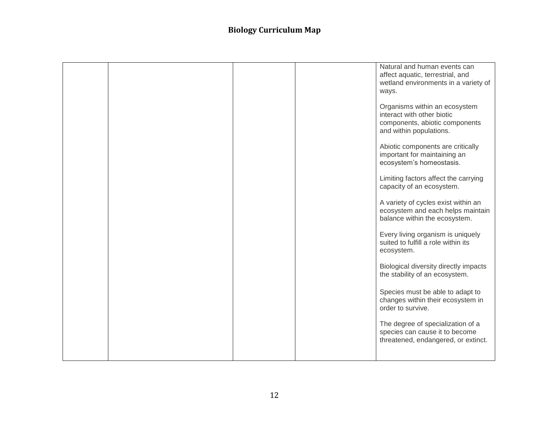|  |  | Natural and human events can                                                           |
|--|--|----------------------------------------------------------------------------------------|
|  |  | affect aquatic, terrestrial, and<br>wetland environments in a variety of               |
|  |  | ways.                                                                                  |
|  |  | Organisms within an ecosystem                                                          |
|  |  | interact with other biotic<br>components, abiotic components                           |
|  |  | and within populations.                                                                |
|  |  | Abiotic components are critically                                                      |
|  |  | important for maintaining an<br>ecosystem's homeostasis.                               |
|  |  | Limiting factors affect the carrying                                                   |
|  |  | capacity of an ecosystem.                                                              |
|  |  | A variety of cycles exist within an                                                    |
|  |  | ecosystem and each helps maintain<br>balance within the ecosystem.                     |
|  |  |                                                                                        |
|  |  | Every living organism is uniquely<br>suited to fulfill a role within its<br>ecosystem. |
|  |  | Biological diversity directly impacts                                                  |
|  |  | the stability of an ecosystem.                                                         |
|  |  | Species must be able to adapt to                                                       |
|  |  | changes within their ecosystem in<br>order to survive.                                 |
|  |  | The degree of specialization of a                                                      |
|  |  | species can cause it to become<br>threatened, endangered, or extinct.                  |
|  |  |                                                                                        |
|  |  |                                                                                        |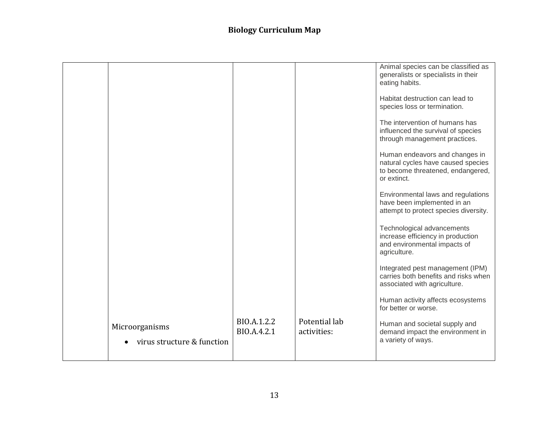|                                              |                            |                              | Animal species can be classified as<br>generalists or specialists in their<br>eating habits.                             |
|----------------------------------------------|----------------------------|------------------------------|--------------------------------------------------------------------------------------------------------------------------|
|                                              |                            |                              | Habitat destruction can lead to<br>species loss or termination.                                                          |
|                                              |                            |                              | The intervention of humans has<br>influenced the survival of species<br>through management practices.                    |
|                                              |                            |                              | Human endeavors and changes in<br>natural cycles have caused species<br>to become threatened, endangered,<br>or extinct. |
|                                              |                            |                              | Environmental laws and regulations<br>have been implemented in an<br>attempt to protect species diversity.               |
|                                              |                            |                              | Technological advancements<br>increase efficiency in production<br>and environmental impacts of<br>agriculture.          |
|                                              |                            |                              | Integrated pest management (IPM)<br>carries both benefits and risks when<br>associated with agriculture.                 |
|                                              |                            |                              | Human activity affects ecosystems<br>for better or worse.                                                                |
| Microorganisms<br>virus structure & function | BIO.A.1.2.2<br>BIO.A.4.2.1 | Potential lab<br>activities: | Human and societal supply and<br>demand impact the environment in<br>a variety of ways.                                  |
|                                              |                            |                              |                                                                                                                          |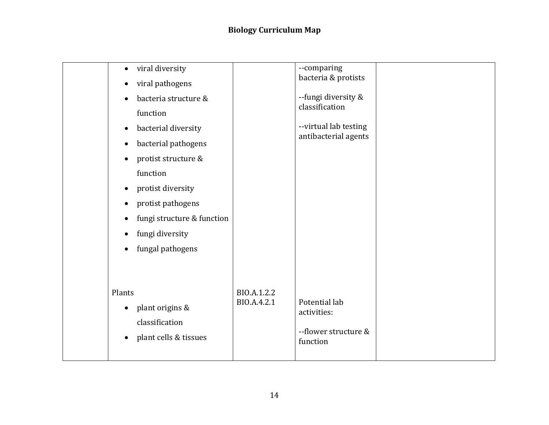| viral diversity<br>$\bullet$<br>viral pathogens<br>$\bullet$<br>bacteria structure &<br>function<br>bacterial diversity<br>$\bullet$<br>bacterial pathogens<br>$\bullet$<br>protist structure &<br>$\bullet$<br>function<br>protist diversity<br>$\bullet$<br>protist pathogens<br>$\bullet$<br>fungi structure & function<br>$\bullet$<br>fungi diversity<br>$\bullet$<br>fungal pathogens<br>$\bullet$ |                            | --comparing<br>bacteria & protists<br>--fungi diversity &<br>classification<br>--virtual lab testing<br>antibacterial agents |  |
|----------------------------------------------------------------------------------------------------------------------------------------------------------------------------------------------------------------------------------------------------------------------------------------------------------------------------------------------------------------------------------------------------------|----------------------------|------------------------------------------------------------------------------------------------------------------------------|--|
| Plants<br>plant origins &<br>$\bullet$<br>classification<br>plant cells & tissues<br>$\bullet$                                                                                                                                                                                                                                                                                                           | BIO.A.1.2.2<br>BIO.A.4.2.1 | Potential lab<br>activities:<br>--flower structure &<br>function                                                             |  |